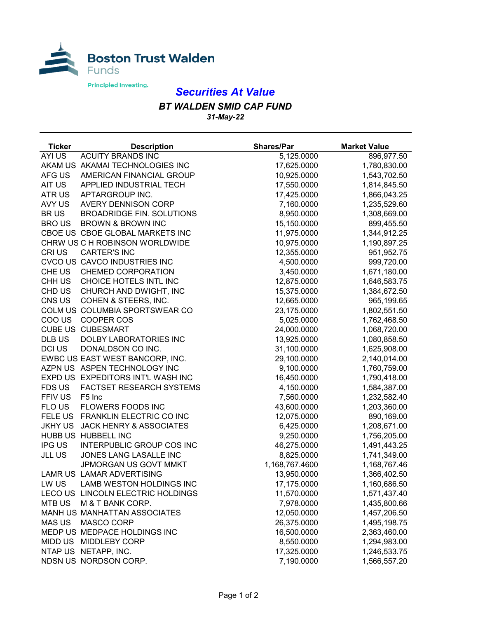

## *Securities At Value*

## *BT WALDEN SMID CAP FUND 31-May-22*

| <b>Ticker</b>  | <b>Description</b>                 | <b>Shares/Par</b> | <b>Market Value</b> |
|----------------|------------------------------------|-------------------|---------------------|
| AYI US         | <b>ACUITY BRANDS INC</b>           | 5,125.0000        | 896,977.50          |
|                | AKAM US AKAMAI TECHNOLOGIES INC    | 17,625.0000       | 1,780,830.00        |
| AFG US         | AMERICAN FINANCIAL GROUP           | 10,925.0000       | 1,543,702.50        |
| AIT US         | APPLIED INDUSTRIAL TECH            | 17,550.0000       | 1,814,845.50        |
| ATR US         | APTARGROUP INC.                    | 17,425.0000       | 1,866,043.25        |
| AVY US         | <b>AVERY DENNISON CORP</b>         | 7,160.0000        | 1,235,529.60        |
| <b>BRUS</b>    | <b>BROADRIDGE FIN. SOLUTIONS</b>   | 8,950.0000        | 1,308,669.00        |
| <b>BROUS</b>   | <b>BROWN &amp; BROWN INC</b>       | 15,150.0000       | 899,455.50          |
|                | CBOE US CBOE GLOBAL MARKETS INC    | 11,975.0000       | 1,344,912.25        |
|                | CHRW US C H ROBINSON WORLDWIDE     | 10,975.0000       | 1,190,897.25        |
| <b>CRIUS</b>   | <b>CARTER'S INC</b>                | 12,355.0000       | 951,952.75          |
|                | CVCO US CAVCO INDUSTRIES INC       | 4,500.0000        | 999,720.00          |
| CHE US         | <b>CHEMED CORPORATION</b>          | 3,450.0000        | 1,671,180.00        |
| CHH US         | CHOICE HOTELS INTL INC             | 12,875.0000       | 1,646,583.75        |
| CHD US         | CHURCH AND DWIGHT, INC             | 15,375.0000       | 1,384,672.50        |
| CNS US         | COHEN & STEERS, INC.               | 12,665.0000       | 965,199.65          |
|                | COLM US COLUMBIA SPORTSWEAR CO     | 23,175.0000       | 1,802,551.50        |
| COO US         | COOPER COS                         | 5,025.0000        | 1,762,468.50        |
|                | <b>CUBE US CUBESMART</b>           | 24,000.0000       | 1,068,720.00        |
| <b>DLB US</b>  | <b>DOLBY LABORATORIES INC</b>      | 13,925.0000       | 1,080,858.50        |
| <b>DCI US</b>  | DONALDSON CO INC.                  | 31,100.0000       | 1,625,908.00        |
|                | EWBC US EAST WEST BANCORP, INC.    | 29,100.0000       | 2,140,014.00        |
|                | AZPN US ASPEN TECHNOLOGY INC       | 9,100.0000        | 1,760,759.00        |
|                | EXPD US EXPEDITORS INT'L WASH INC  | 16,450.0000       | 1,790,418.00        |
| FDS US         | FACTSET RESEARCH SYSTEMS           | 4,150.0000        | 1,584,387.00        |
| FFIV US        | F5 Inc                             | 7,560.0000        | 1,232,582.40        |
| FLO US         | FLOWERS FOODS INC                  | 43,600.0000       | 1,203,360.00        |
| FELE US        | <b>FRANKLIN ELECTRIC CO INC</b>    | 12,075.0000       | 890,169.00          |
| <b>JKHY US</b> | <b>JACK HENRY &amp; ASSOCIATES</b> | 6,425.0000        | 1,208,671.00        |
|                | HUBB US HUBBELL INC                | 9,250.0000        | 1,756,205.00        |
| <b>IPG US</b>  | INTERPUBLIC GROUP COS INC          | 46,275.0000       | 1,491,443.25        |
| <b>JLL US</b>  | JONES LANG LASALLE INC             | 8,825.0000        | 1,741,349.00        |
|                | JPMORGAN US GOVT MMKT              | 1,168,767.4600    | 1,168,767.46        |
|                | LAMR US LAMAR ADVERTISING          | 13,950.0000       | 1,366,402.50        |
| LW US          | LAMB WESTON HOLDINGS INC           | 17,175.0000       | 1,160,686.50        |
|                | LECO US LINCOLN ELECTRIC HOLDINGS  | 11,570.0000       | 1,571,437.40        |
| <b>MTB US</b>  | M & T BANK CORP.                   | 7,978.0000        | 1,435,800.66        |
|                | MANH US MANHATTAN ASSOCIATES       | 12,050.0000       | 1,457,206.50        |
| <b>MAS US</b>  | <b>MASCO CORP</b>                  | 26,375.0000       | 1,495,198.75        |
|                | MEDP US MEDPACE HOLDINGS INC       | 16,500.0000       | 2,363,460.00        |
| <b>MIDD US</b> | <b>MIDDLEBY CORP</b>               | 8,550.0000        | 1,294,983.00        |
|                | NTAP US NETAPP, INC.               | 17,325.0000       | 1,246,533.75        |
|                | NDSN US NORDSON CORP.              | 7,190.0000        | 1,566,557.20        |